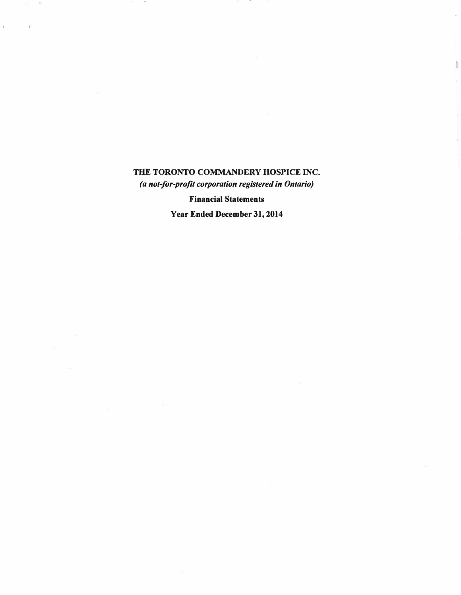**THE TORONTO COMMANDERY HOSPICE INC.**  *(a not-for-profit corporation registered in Ontario)* 

ì

Ÿ,

**Financial Statements** 

**Year Ended December 31, 2014**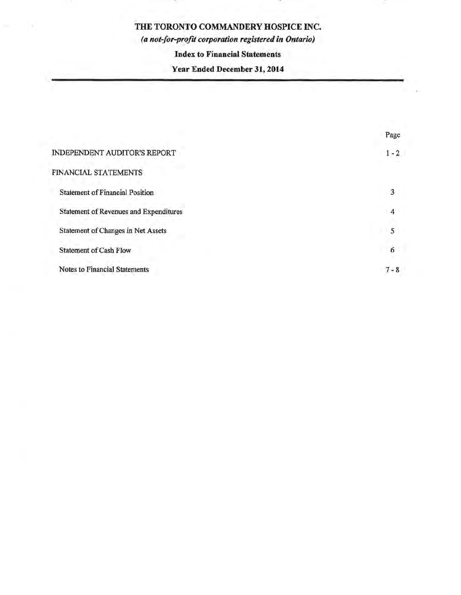*(a not-for-profit corporation registered in Ontario)* 

### **Index to Financial Statements**

# **Year Ended December 31, 2014**

|                                        | Page    |
|----------------------------------------|---------|
| <b>INDEPENDENT AUDITOR'S REPORT</b>    | $1 - 2$ |
| FINANCIAL STATEMENTS                   |         |
| <b>Statement of Financial Position</b> | 3       |
| Statement of Revenues and Expenditures | 4       |
| Statement of Changes in Net Assets     | 5       |
| <b>Statement of Cash Flow</b>          | 6       |
| <b>Notes to Financial Statements</b>   | $7 - 8$ |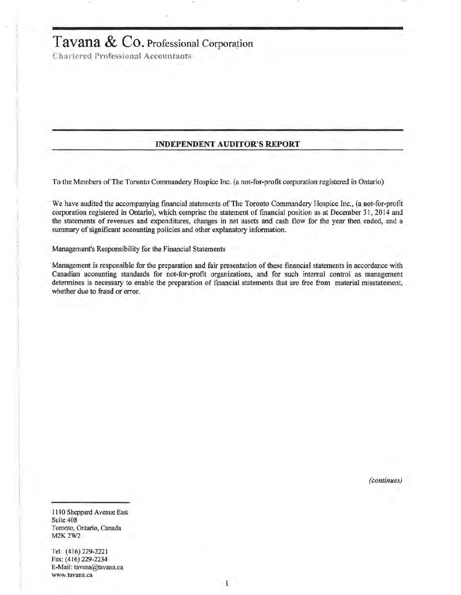# **Tavana & C9.** Professional Corporation

Chartered Professional Accountants

#### **INDEPENDENT AUDITOR'S REPORT**

To the Members of The Toronto Commandery Hospice Inc. (a not-for-profit corporation registered in Ontario)

We have audited the accompanying fmancial statements of The Toronto Commandery Hospice Inc., (a not-for-profit corporation registered in Ontario), which comprise the statement of financial position as at December 31, 2014 and the statements of revenues and expenditures, changes in net assets and cash flow for the year then ended, and a summary of significant accounting policies and other explanatory information.

Management's Responsibility for the Financial Statements

Management is responsible for the preparation and fair presentation of these fmancial statements in accordance with Canadian accounting standards for not-for-profit organizations, and for such internal control as management determines is necessary to enable the preparation of fmancial statements that are free from material misstatement, whether due to fraud or error.

*(continues)* 

1110 Sheppard Avenue East Suite 408 Toronto, Ontario, Canada M2K2W2

Tel: (416) 229-2221 Fax: (416) 229-2234 E-Mail: tavana@tavana.ca www.tavana.ca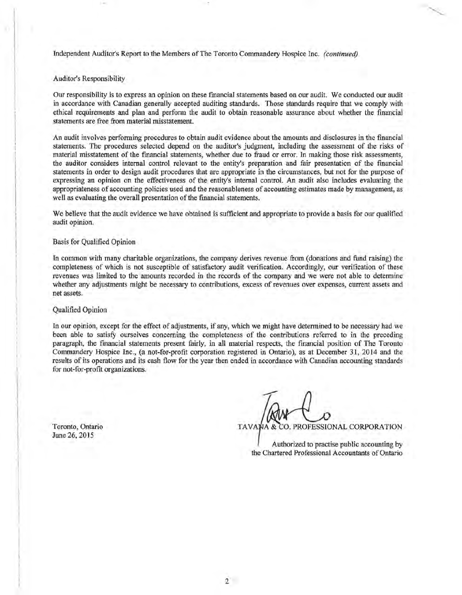Independent Auditor's Report to the Members of The Toronto Commandery Hospice Inc. *(continued)* 

Auditor's Responsibility

Our responsibility is to express an opinion on these financial statements based on our audit. We conducted our audit in accordance with Canadian generally accepted auditing standards. Those standards require that we comply with ethical requirements and plan and perform the audit to obtain reasonable assurance about whether the financial statements are free from material misstatement.

An audit involves performing procedures to obtain audit evidence about the amounts and disclosures in the financial statements. The procedures selected depend on the auditor's judgment, including the assessment of the risks of material misstatement of the financial statements, whether due to fraud or error. In making those risk assessments, the auditor considers internal control relevant to the entity's preparation and fair presentation of the fmancial statements in order to design audit procedures that are appropriate in the circumstances, but not for the purpose of expressing an opinion on the effectiveness of the entity's internal control. An audit also includes evaluating the appropriateness of accounting policies used and the reasonableness of accounting estimates made by management, as well as evaluating the overall presentation of the fmancial statements.

We believe that the audit evidence we have obtained is sufficient and appropriate to provide a basis for our qualified audit opinion.

#### Basis for Qualified Opinion

In common with many charitable organizations, the company derives revenue from (donations and fund raising) the completeness of which is not susceptible of satisfactory audit verification. Accordingly, our verification of these revenues was limited to the amounts recorded in the records of the company and we were not able to determine whether any adjustments might be necessary to contributions, excess of revenues over expenses, current assets and net assets.

#### Qualified Opinion

In our opinion, except for the effect of adjustments, if any, which we might have determined to be necessary had we been able to satisfy ourselves concerning the completeness of the contributions referred to in the preceding paragraph, the fmancial statements present fairly, in all material respects, the fmancial position of The Toronto Commandery Hospice Inc., (a not-for-profit corporation registered in Ontario), as at December 31, 2014 and the results of its operations and its cash flow for the year then ended in accordance with Canadian accounting standards for not-for-profit organizations.

Toronto, Ontario June 26, 2015

CO. PROFESSIONAL CORPORATION

Authorized to practise public accounting by the Chartered Professional Accountants of Ontario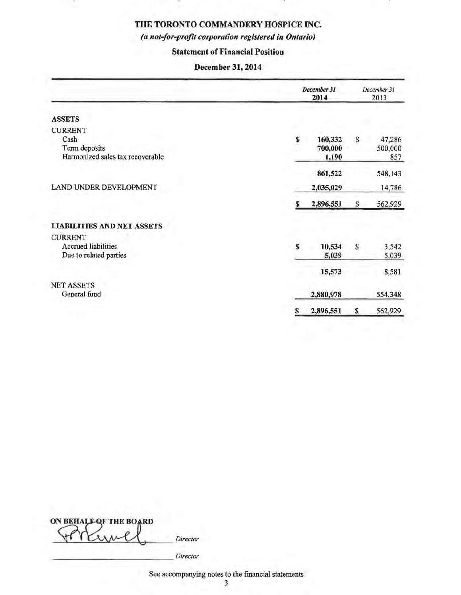### *(a not-for-profit corporation registered in Ontario)*

### Statement of Financial Position

### December 31, 2014

|                                   |   | December 31<br>2014 |    | December 31<br>2013 |
|-----------------------------------|---|---------------------|----|---------------------|
| <b>ASSETS</b>                     |   |                     |    |                     |
| <b>CURRENT</b>                    |   |                     |    |                     |
| Cash                              | S | 160,332             | S  | 47,286              |
| Term deposits                     |   | 700,000             |    | 500,000             |
| Harmonized sales tax recoverable  |   | 1,190               |    | 857                 |
|                                   |   | 861,522             |    | 548,143             |
| LAND UNDER DEVELOPMENT            |   | 2,035,029           |    | 14,786              |
|                                   | S | 2,896,551           | \$ | 562,929             |
| <b>LIABILITIES AND NET ASSETS</b> |   |                     |    |                     |
| <b>CURRENT</b>                    |   |                     |    |                     |
| <b>Accrued liabilities</b>        | S | 10,534              | S  | 3,542               |
| Due to related parties            |   | 5,039               |    | 5,039               |
|                                   |   | 15,573              |    | 8,581               |
| <b>NET ASSETS</b>                 |   |                     |    |                     |
| General fund                      |   | 2,880,978           |    | 554,348             |
|                                   | s | 2,896,551           | \$ | 562,929             |

| ON BEHALF OF THE BOARD |          |
|------------------------|----------|
|                        | Director |
|                        |          |

See accompanying notes to the fmancial statements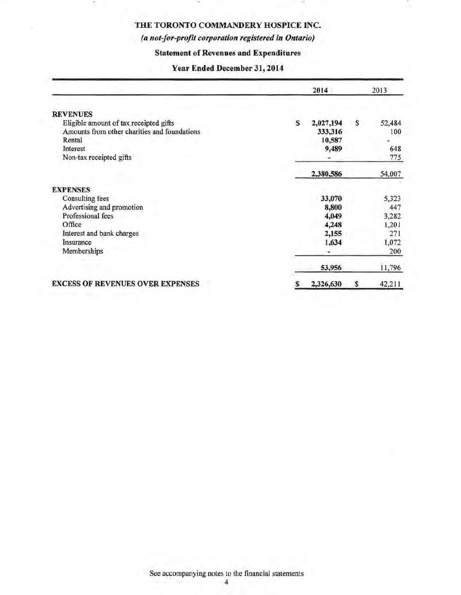### *(a not-for-profit corporation registered in Ontario)*

### Statement of Revenues and Expenditures

### Year Ended December 31, 2014

|                                              |   | 2014      |    | 2013   |
|----------------------------------------------|---|-----------|----|--------|
| <b>REVENUES</b>                              |   |           |    |        |
| Eligible amount of tax receipted gifts       | s | 2,027,194 | s  | 52,484 |
| Amounts from other charities and foundations |   | 333,316   |    | 100    |
| Rental                                       |   | 10,587    |    |        |
| Interest                                     |   | 9,489     |    | 648    |
| Non-tax receipted gifts                      |   |           |    | 775    |
|                                              |   | 2,380,586 |    | 54,007 |
| <b>EXPENSES</b>                              |   |           |    |        |
| Consulting fees                              |   | 33,070    |    | 5,323  |
| Advertising and promotion                    |   | 8,800     |    | 447    |
| Professional fees                            |   | 4,049     |    | 3,282  |
| Office                                       |   | 4,248     |    | 1,201  |
| Interest and bank charges                    |   | 2,155     |    | 271    |
| Insurance                                    |   | 1,634     |    | 1,072  |
| Memberships                                  |   |           |    | 200    |
|                                              |   | 53,956    |    | 11,796 |
| <b>EXCESS OF REVENUES OVER EXPENSES</b>      | s | 2,326,630 | \$ | 42,211 |

See accompanying notes to the financial statements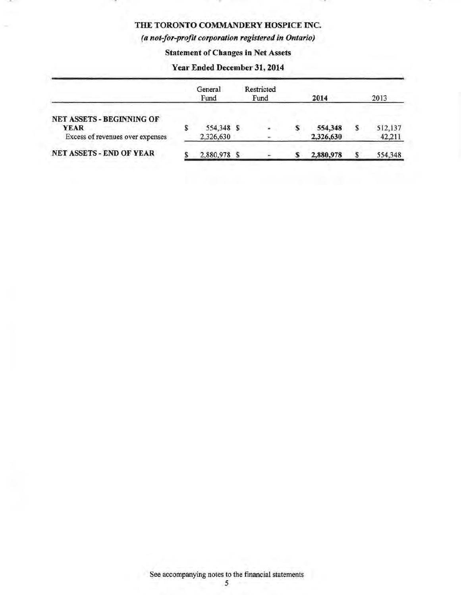### *(a not-for-profit corporation registered in Ontario)*

### Statement of Changes in Net Assets

### Year Ended December 31, 2014

|                                                                              |   | General<br>Fund         | Restricted<br>Fund |   | 2014                 |   | 2013              |
|------------------------------------------------------------------------------|---|-------------------------|--------------------|---|----------------------|---|-------------------|
| NET ASSETS - BEGINNING OF<br><b>YEAR</b><br>Excess of revenues over expenses | S | 554,348 \$<br>2,326,630 |                    |   | 554,348<br>2,326,630 | S | 512,137<br>42,211 |
| <b>NET ASSETS - END OF YEAR</b>                                              |   | 2,880,978 \$            |                    | S | 2,880,978            | S | 554,348           |

See accompanying notes to the financial statements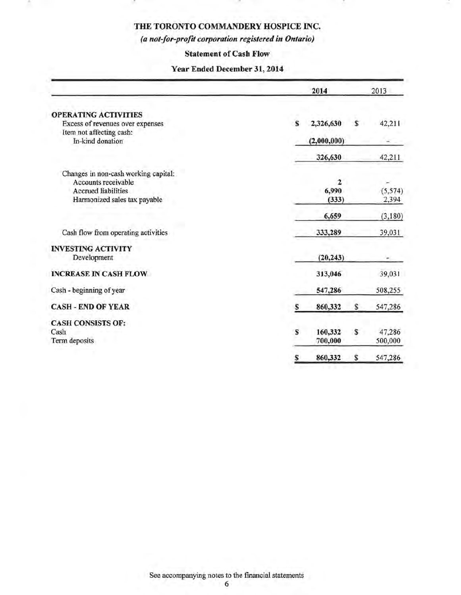÷

# *(a not-for-profit corporation registered in Ontario)*

### Statement of Cash Flow

### Year Ended December 31, 2014

|                                      |    | 2014         |    | 2013     |
|--------------------------------------|----|--------------|----|----------|
| <b>OPERATING ACTIVITIES</b>          |    |              |    |          |
| Excess of revenues over expenses     | S. | 2,326,630    | \$ | 42,211   |
| Item not affecting cash:             |    |              |    |          |
| In-kind donation                     |    | (2,000,000)  |    |          |
|                                      |    | 326,630      |    | 42,211   |
| Changes in non-cash working capital: |    |              |    |          |
| Accounts receivable                  |    | $\mathbf{2}$ |    |          |
| <b>Accrued liabilities</b>           |    | 6,990        |    | (5, 574) |
| Harmonized sales tax payable         |    | (333)        |    | 2,394    |
|                                      |    | 6,659        |    | (3,180)  |
| Cash flow from operating activities  |    | 333,289      |    | 39,031   |
| <b>INVESTING ACTIVITY</b>            |    |              |    |          |
| Development                          |    | (20, 243)    |    |          |
| <b>INCREASE IN CASH FLOW</b>         |    | 313,046      |    | 39,031   |
| Cash - beginning of year             |    | 547,286      |    | 508,255  |
| <b>CASH - END OF YEAR</b>            | S  | 860,332      | S  | 547,286  |
| <b>CASH CONSISTS OF:</b>             |    |              |    |          |
| Cash                                 | S  | 160,332      | \$ | 47,286   |
| Term deposits                        |    | 700,000      |    | 500,000  |
|                                      | s  | 860,332      | \$ | 547,286  |